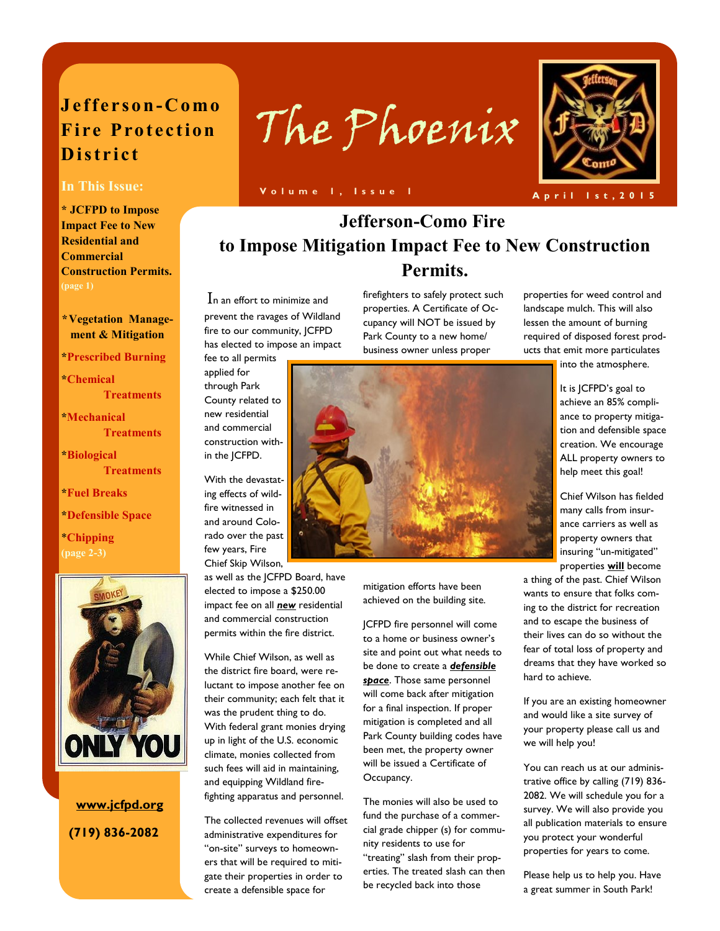## **J e f f e r so n-C omo Fire Protection D i s t r i c t**

**\* JCFPD to Impose Impact Fee to New Residential and Commercial Construction Permits.** 

## **\*Vegetation Management & Mitigation**

**\*Prescribed Burning** 

**\*Chemical Treatments** 

**\*Mechanical Treatments** 

**\*Biological Treatments** 

**\*Fuel Breaks** 

**\*Defensible Space** 

\***Chipping (page 2-3)** 



 **www.jcfpd.org (719) 836-2082**



In This Issue: **We are a set to be a proport of the U.S. of the U.S. of the U.S. of the U.S. of the U.S. of the U.S. of the U.S. of the U.S. of the U.S. of the U.S. of the U.S. of the U.S. of the U.S. of the U.S. of the U.** 

# **Jefferson-Como Fire to Impose Mitigation Impact Fee to New Construction Permits.**

In an effort to minimize and prevent the ravages of Wildland fire to our community, JCFPD has elected to impose an impact fee to all permits

applied for through Park County related to new residential and commercial construction within the JCFPD.

With the devastating effects of wildfire witnessed in and around Colorado over the past few years, Fire Chief Skip Wilson,

as well as the JCFPD Board, have elected to impose a \$250.00 impact fee on all *new* residential and commercial construction permits within the fire district.

While Chief Wilson, as well as the district fire board, were reluctant to impose another fee on their community; each felt that it was the prudent thing to do. With federal grant monies drying up in light of the U.S. economic climate, monies collected from such fees will aid in maintaining, and equipping Wildland firefighting apparatus and personnel.

The collected revenues will offset administrative expenditures for "on-site" surveys to homeowners that will be required to mitigate their properties in order to create a defensible space for

firefighters to safely protect such properties. A Certificate of Occupancy will NOT be issued by Park County to a new home/ business owner unless proper

properties for weed control and landscape mulch. This will also lessen the amount of burning required of disposed forest products that emit more particulates

into the atmosphere.

It is JCFPD's goal to achieve an 85% compliance to property mitigation and defensible space creation. We encourage ALL property owners to help meet this goal!

Chief Wilson has fielded many calls from insurance carriers as well as property owners that insuring "un-mitigated" properties **will** become

a thing of the past. Chief Wilson wants to ensure that folks coming to the district for recreation and to escape the business of their lives can do so without the fear of total loss of property and dreams that they have worked so hard to achieve.

If you are an existing homeowner and would like a site survey of your property please call us and we will help you!

You can reach us at our administrative office by calling (719) 836- 2082. We will schedule you for a survey. We will also provide you all publication materials to ensure you protect your wonderful properties for years to come.

Please help us to help you. Have a great summer in South Park!



mitigation efforts have been achieved on the building site.

JCFPD fire personnel will come to a home or business owner's site and point out what needs to be done to create a *defensible space*. Those same personnel will come back after mitigation for a final inspection. If proper mitigation is completed and all Park County building codes have been met, the property owner will be issued a Certificate of Occupancy.

The monies will also be used to fund the purchase of a commercial grade chipper (s) for community residents to use for "treating" slash from their properties. The treated slash can then be recycled back into those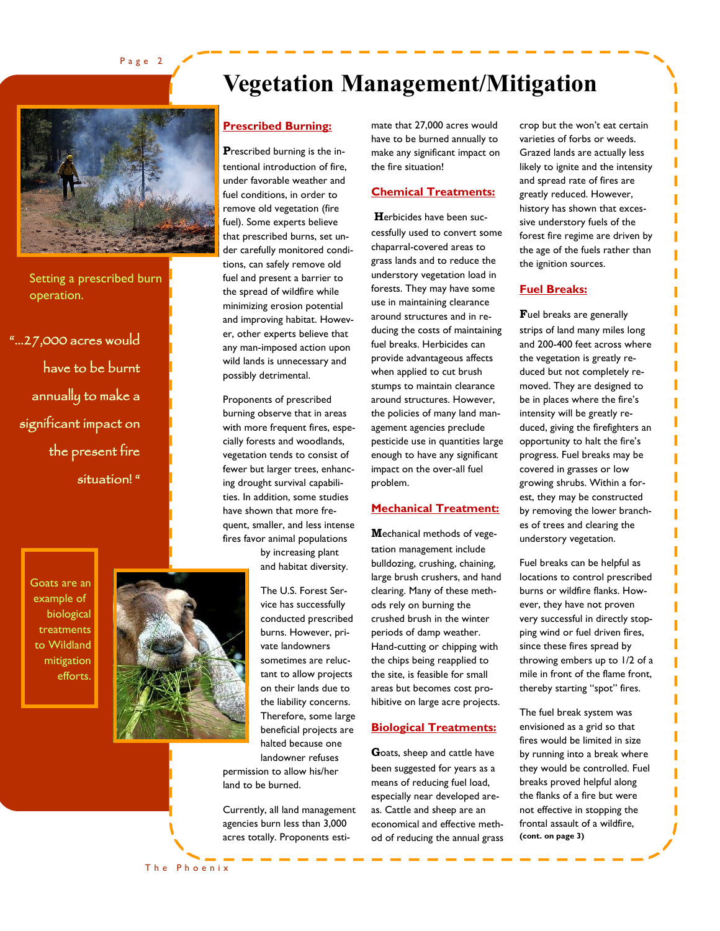Page 2

# **Vegetation Management/Mitigation**



Setting a prescribed burn operation.

"…27,000 acres would have to be burnt annually to make a significant impact on the present fire situation! "

> Goats are an example of biological treatments to Wildland mitigation efforts.



The Phoenix

## **Prescribed Burning:**

**P**rescribed burning is the intentional introduction of fire, under favorable weather and fuel conditions, in order to remove old vegetation (fire fuel). Some experts believe that prescribed burns, set under carefully monitored conditions, can safely remove old fuel and present a barrier to the spread of wildfire while minimizing erosion potential and improving habitat. However, other experts believe that any man-imposed action upon wild lands is unnecessary and possibly detrimental.

Proponents of prescribed burning observe that in areas with more frequent fires, especially forests and woodlands, vegetation tends to consist of fewer but larger trees, enhancing drought survival capabilities. In addition, some studies have shown that more frequent, smaller, and less intense fires favor animal populations

> by increasing plant and habitat diversity.

The U.S. Forest Service has successfully conducted prescribed burns. However, private landowners sometimes are reluctant to allow projects on their lands due to the liability concerns. Therefore, some large beneficial projects are halted because one landowner refuses permission to allow his/her

Currently, all land management

land to be burned.

agencies burn less than 3,000 acres totally. Proponents estimate that 27,000 acres would have to be burned annually to make any significant impact on the fire situation!

### **Chemical Treatments:**

**H**erbicides have been successfully used to convert some chaparral-covered areas to grass lands and to reduce the understory vegetation load in forests. They may have some use in maintaining clearance around structures and in reducing the costs of maintaining fuel breaks. Herbicides can provide advantageous affects when applied to cut brush stumps to maintain clearance around structures. However, the policies of many land management agencies preclude pesticide use in quantities large enough to have any significant impact on the over-all fuel problem.

### **Mechanical Treatment:**

**M**echanical methods of vegetation management include bulldozing, crushing, chaining, large brush crushers, and hand clearing. Many of these methods rely on burning the crushed brush in the winter periods of damp weather. Hand-cutting or chipping with the chips being reapplied to the site, is feasible for small areas but becomes cost prohibitive on large acre projects.

#### **Biological Treatments:**

**G**oats, sheep and cattle have been suggested for years as a means of reducing fuel load, especially near developed areas. Cattle and sheep are an economical and effective method of reducing the annual grass crop but the won't eat certain varieties of forbs or weeds. Grazed lands are actually less likely to ignite and the intensity and spread rate of fires are greatly reduced. However, history has shown that excessive understory fuels of the forest fire regime are driven by the age of the fuels rather than the ignition sources.

### **Fuel Breaks:**

**F**uel breaks are generally strips of land many miles long and 200-400 feet across where the vegetation is greatly reduced but not completely removed. They are designed to be in places where the fire's intensity will be greatly reduced, giving the firefighters an opportunity to halt the fire's progress. Fuel breaks may be covered in grasses or low growing shrubs. Within a forest, they may be constructed by removing the lower branches of trees and clearing the understory vegetation.

Fuel breaks can be helpful as locations to control prescribed burns or wildfire flanks. However, they have not proven very successful in directly stopping wind or fuel driven fires, since these fires spread by throwing embers up to 1/2 of a mile in front of the flame front, thereby starting "spot" fires.

The fuel break system was envisioned as a grid so that fires would be limited in size by running into a break where they would be controlled. Fuel breaks proved helpful along the flanks of a fire but were not effective in stopping the frontal assault of a wildfire, **(cont. on page 3)**